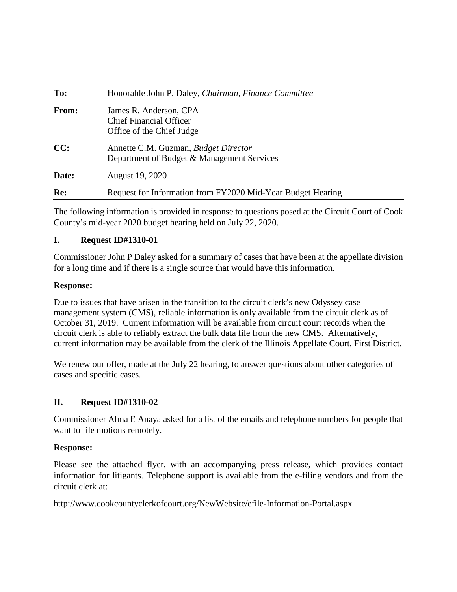| To:   | Honorable John P. Daley, Chairman, Finance Committee                                  |
|-------|---------------------------------------------------------------------------------------|
| From: | James R. Anderson, CPA<br><b>Chief Financial Officer</b><br>Office of the Chief Judge |
| CC:   | Annette C.M. Guzman, Budget Director<br>Department of Budget & Management Services    |
| Date: | August 19, 2020                                                                       |
| Re:   | Request for Information from FY2020 Mid-Year Budget Hearing                           |

The following information is provided in response to questions posed at the Circuit Court of Cook County's mid-year 2020 budget hearing held on July 22, 2020.

# **I. Request ID#1310-01**

Commissioner John P Daley asked for a summary of cases that have been at the appellate division for a long time and if there is a single source that would have this information.

# **Response:**

Due to issues that have arisen in the transition to the circuit clerk's new Odyssey case management system (CMS), reliable information is only available from the circuit clerk as of October 31, 2019. Current information will be available from circuit court records when the circuit clerk is able to reliably extract the bulk data file from the new CMS. Alternatively, current information may be available from the clerk of the Illinois Appellate Court, First District.

We renew our offer, made at the July 22 hearing, to answer questions about other categories of cases and specific cases.

# **II. Request ID#1310-02**

Commissioner Alma E Anaya asked for a list of the emails and telephone numbers for people that want to file motions remotely.

# **Response:**

Please see the attached flyer, with an accompanying press release, which provides contact information for litigants. Telephone support is available from the e-filing vendors and from the circuit clerk at:

http://www.cookcountyclerkofcourt.org/NewWebsite/efile-Information-Portal.aspx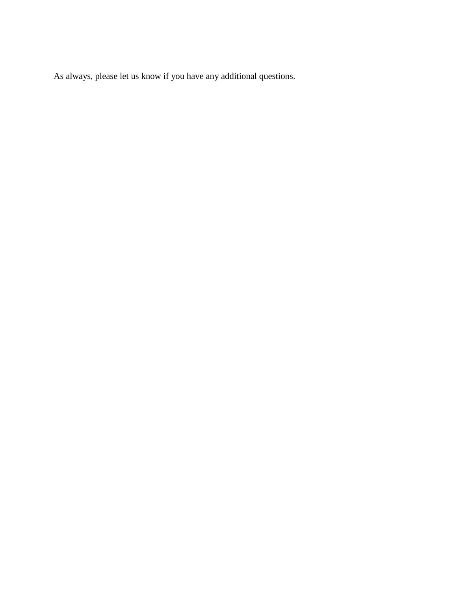As always, please let us know if you have any additional questions.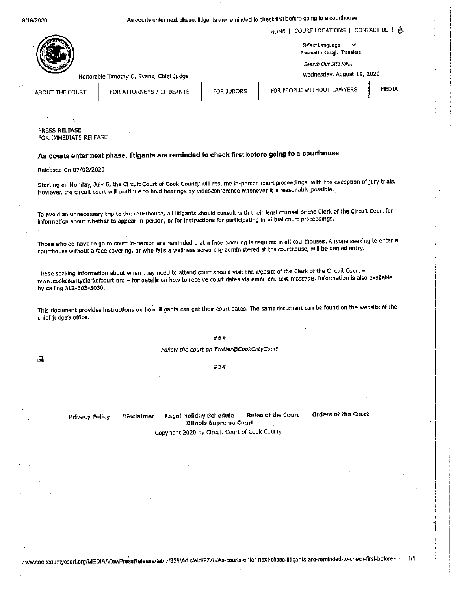8/19/2020

# As courts enter next phase, iltigants are reminded to check first before going to a courthouse



HOME | COURT LOCATIONS | CONTACT US | &

Select Language Powered by Cangle Translate

Search Our Site for...

Wednesday, August 19, 2020

Honorable Timothy C. Evans, Chief Judge

ABOUT THE COURT

FOR ATTORNEYS / LITIGANTS

FOR JURORS

FOR PEOPLE WITHOUT LAWYERS

MEDIA

PRESS RELEASE FOR IMMEDIATE RELEASE

# As courts enter next phase, litigants are reminded to check first before going to a courthouse

Released On 07/02/2020

Starting on Monday, July 6, the Circuit Court of Cook County will resume in-person court proceedings, with the exception of jury trials. However, the circuit court will continue to hold hearings by videoconference whenever it is reasonably possible.

To avoid an unnecessary trip to the courthouse, all litigants should consult with their legal counsel or the Clerk of the Circult Court for information about whether to appear in-person, or for instructions for participating in virtual court proceedings.

Those who do have to go to court in-person are reminded that a face covering is required in all courthouses. Anyone seeking to enter a courthouse without a face covering, or who fails a wellness screening administered at the courthouse, will be denied entry.

Those seeking information about when they need to attend court should visit the website of the Clerk of the Circuit Court www.cookcountyclerkofcourt.org - for details on how to receive court dates via email and text message. Information is also available by calling 312-603-5030.

This document provides instructions on how litigants can get their court dates. The same document can be found on the website of the chief judge's office.

#### $###$

Follow the court on Twitter@CookCntyCourt

###

**Privacy Policy** Disclaimer

曲

**Rules of the Court** Legal Holiday Schedule **Illinois Supreme Court** 

Orders of the Court

Copyright 2020 by Circult Court of Cook County